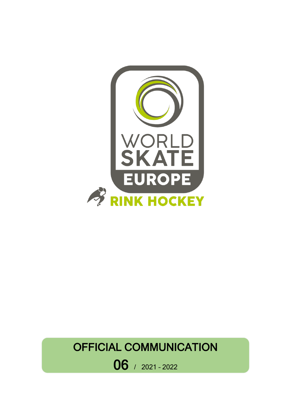

# OFFICIAL COMMUNICATION

06 / 2021 – <sup>2022</sup>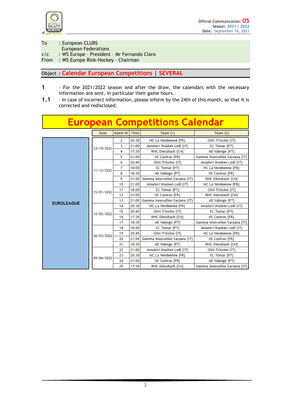

To : European CLUBS

- European Federations
- c/c : WS Europe President Mr Fernando Claro

From : WS Europe Rink-Hockey - Chairman

Object : **Calendar European Competitions | SEVERAL**

- **1** For the 2021/2022 season and after the draw, the calendars with the necessary information are sent, in particular their game hours.
- **1.1** In case of incorrect information, please inform by the 24th of this month, so that it is corrected and redisclosed.

| <b>European Competitions Calendar</b> |             |                                   |                 |                               |                               |  |
|---------------------------------------|-------------|-----------------------------------|-----------------|-------------------------------|-------------------------------|--|
|                                       | <b>Date</b> | Match Nr                          | Time            | Team $(1)$                    | Team $(2)$                    |  |
|                                       |             | $\overline{2}$                    | 20:30           | HC La Vendeenne (FR)          | <b>GSH Trissino (IT)</b>      |  |
|                                       | 23/10/2021  | 3                                 | 21:00           | Amatori Wasken Lodi (IT)      | SC Tomar (PT)                 |  |
|                                       |             | 4                                 | 17:30           | RHC Diessbach (CH)            | AD Valongo (PT)               |  |
|                                       |             | 5                                 | 21:00           | US Coutras (FR)               | Gamma Innovation Sarzana (IT) |  |
|                                       |             | 6                                 | 20:45           | GSH Trissino (IT)             | Amatori Wasken Lodi (IT)      |  |
|                                       | 11/12/2021  | 7                                 | 18:00           | SC Tomar (PT)                 | HC La Vendeenne (FR)          |  |
|                                       |             | 8                                 | 18:30           | AD Valongo (PT)               | US Coutras (FR)               |  |
|                                       |             | 9                                 | 21:00           | Gamma Innovation Sarzana (IT) | RHC Diessbach (CH)            |  |
|                                       | 15/01/2022  | 10                                | 21:00           | Amatori Wasken Lodi (IT)      | HC La Vendeenne (FR)          |  |
|                                       |             | 11                                | 18:00           | SC Tomar (PT)                 | <b>GSH Trissino (IT)</b>      |  |
| <b>EUROLEAGUE</b>                     |             | 12                                | 21:00           | US Coutras (FR)               | RHC Diessbach (CH)            |  |
|                                       |             | 13                                | 21:00           | Gamma Innovation Sarzana (IT) | AD Valongo (PT)               |  |
|                                       | 12/02/2022  | 14                                | 20:30           | HC La Vendeenne (FR)          | Amatori Wasken Lodi (IT)      |  |
|                                       |             | 15                                | 20:45           | GSH Trissino (IT)             | SC Tomar (PT)                 |  |
|                                       |             | 17:30<br>RHC Diessbach (CH)<br>16 | US Coutras (FR) |                               |                               |  |
|                                       |             | 17                                | 18:30           | AD Valongo (PT)               | Gamma Innovation Sarzana (IT) |  |
|                                       | 26/03/2022  | 18                                | 18:00           | SC Tomar (PT)                 | Amatori Wasken Lodi (IT)      |  |
|                                       |             | 19                                | 20:45           | GSH Trissino (IT)             | HC La Vendeenne (FR)          |  |
|                                       |             | 20                                | 21:00           | Gamma Innovation Sarzana (IT) | US Coutras (FR)               |  |
|                                       |             | 21                                | 18:30           | AD Valongo (PT)               | RHC Diessbach (CH)            |  |
|                                       |             | 22                                | 21:00           | Amatori Wasken Lodi (IT)      | <b>GSH Trissino (IT)</b>      |  |
|                                       | 09/04/2022  | 23                                | 20:30           | HC La Vendeenne (FR)          | SC Tomar (PT)                 |  |
|                                       |             | 24                                | 21:00           | US Coutras (FR)               | AD Valongo (PT)               |  |
|                                       |             | 25                                | 17:30           | RHC Diessbach (CH)            | Gamma Innovation Sarzana (IT) |  |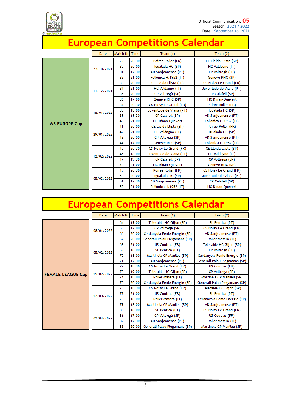

## **European Competitions Calendar**

|                      | <b>Date</b> | Match Nr | <b>Time</b> | Team $(1)$              | Team $(2)$              |
|----------------------|-------------|----------|-------------|-------------------------|-------------------------|
|                      |             | 29       | 20:30       | Poiree Roller (FR)      | CE Lleida Llista (SP)   |
|                      |             | 30       | 20:00       | Igualada HC (SP)        | HC Valdagno (IT)        |
|                      | 23/10/2021  | 31       | 17:30       | AD Sanjoanense (PT)     | CP Voltregà (SP)        |
|                      |             | 32       | 21:00       | Follonica H.1952 (IT)   | Geneve RHC (SP)         |
|                      |             | 33       | 20:00       | CE Lleida Llista (SP)   | CS Noisy Le Grand (FR)  |
|                      | 11/12/2021  | 34       | 21:00       | HC Valdagno (IT)        | Juventude de Viana (PT) |
|                      |             | 35       | 20:00       | CP Voltregà (SP)        | CP Calafell (SP)        |
|                      |             | 36       | 17:00       | Geneve RHC (SP)         | <b>HC Dinan-Quevert</b> |
|                      | 15/01/2022  | 37       | 20:30       | CS Noisy Le Grand (FR)  | Poiree Roller (FR)      |
|                      |             | 38       | 18:00       | Juventude de Viana (PT) | Igualada HC (SP)        |
|                      |             | 39       | 19:30       | CP Calafell (SP)        | AD Sanjoanense (PT)     |
| <b>WS EUROPE Cup</b> |             | 40       | 21:00       | <b>HC Dinan-Quevert</b> | Follonica H.1952 (IT)   |
|                      | 29/01/2022  | 41       | 20:00       | CE Lleida Llista (SP)   | Poiree Roller (FR)      |
|                      |             | 42       | 21:00       | HC Valdagno (IT)        | Igualada HC (SP)        |
|                      |             | 43       | 20:00       | CP Voltregà (SP)        | AD Sanjoanense (PT)     |
|                      |             | 44       | 17:00       | Geneve RHC (SP)         | Follonica H.1952 (IT)   |
|                      | 12/02/2022  | 45       | 20:30       | CS Noisy Le Grand (FR)  | CE Lleida Llista (SP)   |
|                      |             | 46       | 18:00       | Juventude de Viana (PT) | HC Valdagno (IT)        |
|                      |             | 47       | 19:30       | CP Calafell (SP)        | CP Voltregà (SP)        |
|                      |             | 48       | 21:00       | <b>HC Dinan-Quevert</b> | Geneve RHC (SP)         |
|                      | 05/03/2022  | 49       | 20:30       | Poiree Roller (FR)      | CS Noisy Le Grand (FR)  |
|                      |             | 50       | 20:00       | Igualada HC (SP)        | Juventude de Viana (PT) |
|                      |             | 51       | 17:30       | AD Sanjoanense (PT)     | CP Calafell (SP)        |
|                      |             | 52       | 21:00       | Follonica H.1952 (IT)   | <b>HC Dinan-Quevert</b> |

# **European Competitions Calendar**

|                          | Date       | Match Nr | Time  | Team $(1)$                    | Team $(2)$                    |
|--------------------------|------------|----------|-------|-------------------------------|-------------------------------|
|                          |            | 64       | 19:00 | Telecable HC Gijon (SP)       | SL Benfica (PT)               |
|                          | 08/01/2022 | 65       | 17:00 | CP Voltregà (SP)              | CS Noisy Le Grand (FR)        |
|                          |            | 66       | 20:00 | Cerdanyola Fenie Energie (SP) | AD Sanjoanense (PT)           |
|                          |            | 67       | 20:00 | Generali Palau Plegamans (SP) | Roller Matera (IT)            |
|                          | 05/02/2022 | 68       | 21:00 | US Coutras (FR)               | Telecable HC Gijon (SP)       |
|                          |            | 69       | 18:00 | SL Benfica (PT)               | CP Voltregà (SP)              |
|                          |            | 70       | 18:00 | Martinela CP Manlleu (SP)     | Cerdanyola Fenie Energie (SP) |
|                          |            | 71       | 17:30 | AD Sanjoanense (PT)           | Generali Palau Plegamans (SP) |
|                          | 19/02/2022 | 72       | 18:30 | CS Noisy Le Grand (FR)        | US Coutras (FR)               |
| <b>FEMALE LEAGUE Cup</b> |            | 73       | 19:00 | Telecable HC Gijon (SP)       | CP Voltregà (SP)              |
|                          |            | 74       | 18:00 | Roller Matera (IT)            | Martinela CP Manlleu (SP)     |
|                          |            | 75       | 20:00 | Cerdanyola Fenie Energie (SP) | Generali Palau Plegamans (SP) |
|                          | 12/03/2022 | 76       | 18:30 | CS Noisy Le Grand (FR)        | Telecable HC Gijon (SP)       |
|                          |            | 77       | 21:00 | US Coutras (FR)               | SL Benfica (PT)               |
|                          |            | 78       | 18:00 | Roller Matera (IT)            | Cerdanyola Fenie Energie (SP) |
|                          |            | 79       | 18:00 | Martinela CP Manlleu (SP)     | AD Sanjoanense (PT)           |
|                          | 02/04/2022 | 80       | 18:00 | SL Benfica (PT)               | CS Noisy Le Grand (FR)        |
|                          |            | 81       | 17:00 | CP Voltregà (SP)              | US Coutras (FR)               |
|                          |            | 82       | 17:30 | AD Sanjoanense (PT)           | Roller Matera (IT)            |
|                          |            | 83       | 20:00 | Generali Palau Plegamans (SP) | Martinela CP Manlleu (SP)     |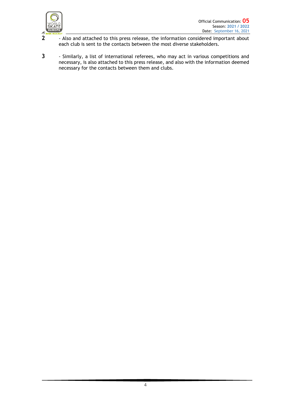

- **2** Also and attached to this press release, the information considered important about each club is sent to the contacts between the most diverse stakeholders.
- **3** Similarly, a list of international referees, who may act in various competitions and necessary, is also attached to this press release, and also with the information deemed necessary for the contacts between them and clubs.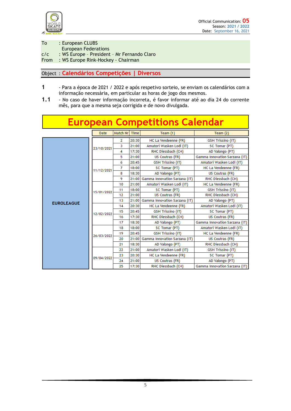

To : European CLUBS

- European Federations
- c/c : WS Europe President Mr Fernando Claro

From : WS Europe Rink-Hockey - Chairman

#### Object : **Calendários Competições | Diversos**

- **1** Para a época de 2021 / 2022 e após respetivo sorteio, se enviam os calendários com a informação necessária, em particular as horas de jogo dos mesmos.
- **1.1** No caso de haver informação incorreta, é favor informar até ao dia 24 do corrente mês, para que a mesma seja corrigida e de novo divulgada.

### **European Competitions Calendar**

|                   | <b>Date</b> | Match Nr       | <b>Time</b> | Team $(1)$                    | Team $(2)$                                                |
|-------------------|-------------|----------------|-------------|-------------------------------|-----------------------------------------------------------|
|                   | 23/10/2021  | $\overline{2}$ | 20:30       | HC La Vendeenne (FR)          | GSH Trissino (IT)                                         |
|                   |             | 3              | 21:00       | Amatori Wasken Lodi (IT)      | SC Tomar (PT)                                             |
|                   |             | 4              | 17:30       | RHC Diessbach (CH)            | AD Valongo (PT)                                           |
|                   |             | 5              | 21:00       | US Coutras (FR)               | Gamma Innovation Sarzana (IT)                             |
|                   |             | 6              | 20:45       | <b>GSH Trissino (IT)</b>      | Amatori Wasken Lodi (IT)                                  |
|                   | 11/12/2021  | 7              | 18:00       | SC Tomar (PT)                 | HC La Vendeenne (FR)                                      |
|                   |             | 8              | 18:30       | AD Valongo (PT)               | US Coutras (FR)                                           |
|                   |             | 9              | 21:00       | Gamma Innovation Sarzana (IT) | RHC Diessbach (CH)                                        |
|                   | 15/01/2022  | 10             | 21:00       | Amatori Wasken Lodi (IT)      | HC La Vendeenne (FR)                                      |
|                   |             | 11             | 18:00       | SC Tomar (PT)                 | <b>GSH Trissino (IT)</b>                                  |
|                   |             | 12             | 21:00       | US Coutras (FR)               | RHC Diessbach (CH)                                        |
| <b>EUROLEAGUE</b> |             | 13             | 21:00       | Gamma Innovation Sarzana (IT) | AD Valongo (PT)                                           |
|                   | 12/02/2022  | 14             | 20:30       | HC La Vendeenne (FR)          | Amatori Wasken Lodi (IT)                                  |
|                   |             | 15             | 20:45       | GSH Trissino (IT)             | SC Tomar (PT)                                             |
|                   |             | 16             | 17:30       | RHC Diessbach (CH)            | US Coutras (FR)                                           |
|                   |             | 17             | 18:30       | AD Valongo (PT)               | Gamma Innovation Sarzana (IT)<br>Amatori Wasken Lodi (IT) |
|                   | 26/03/2022  | 18             | 18:00       | SC Tomar (PT)                 |                                                           |
|                   |             | 19             | 20:45       | <b>GSH Trissino (IT)</b>      | HC La Vendeenne (FR)                                      |
|                   |             | 20             | 21:00       | Gamma Innovation Sarzana (IT) | US Coutras (FR)                                           |
|                   |             | 21             | 18:30       | AD Valongo (PT)               | RHC Diessbach (CH)                                        |
|                   | 09/04/2022  | 22             | 21:00       | Amatori Wasken Lodi (IT)      | GSH Trissino (IT)                                         |
|                   |             | 23             | 20:30       | HC La Vendeenne (FR)          | SC Tomar (PT)                                             |
|                   |             | 24             | 21:00       | US Coutras (FR)               | AD Valongo (PT)                                           |
|                   |             | 25             | 17:30       | RHC Diessbach (CH)            | Gamma Innovation Sarzana (IT)                             |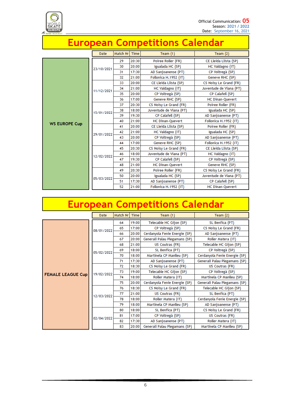

## **European Competitions Calendar**

|                      | <b>Date</b> | Match Nr | <b>Time</b> | Team $(1)$              | Team $(2)$              |
|----------------------|-------------|----------|-------------|-------------------------|-------------------------|
|                      |             | 29       | 20:30       | Poiree Roller (FR)      | CE Lleida Llista (SP)   |
|                      |             | 30       | 20:00       | Igualada HC (SP)        | HC Valdagno (IT)        |
|                      | 23/10/2021  | 31       | 17:30       | AD Sanjoanense (PT)     | CP Voltregà (SP)        |
|                      |             | 32       | 21:00       | Follonica H.1952 (IT)   | Geneve RHC (SP)         |
|                      |             | 33       | 20:00       | CE Lleida Llista (SP)   | CS Noisy Le Grand (FR)  |
|                      | 11/12/2021  | 34       | 21:00       | HC Valdagno (IT)        | Juventude de Viana (PT) |
|                      |             | 35       | 20:00       | CP Voltregà (SP)        | CP Calafell (SP)        |
|                      |             | 36       | 17:00       | Geneve RHC (SP)         | <b>HC Dinan-Quevert</b> |
|                      | 15/01/2022  | 37       | 20:30       | CS Noisy Le Grand (FR)  | Poiree Roller (FR)      |
|                      |             | 38       | 18:00       | Juventude de Viana (PT) | Igualada HC (SP)        |
|                      |             | 39       | 19:30       | CP Calafell (SP)        | AD Sanjoanense (PT)     |
| <b>WS EUROPE Cup</b> |             | 40       | 21:00       | <b>HC Dinan-Quevert</b> | Follonica H.1952 (IT)   |
|                      | 29/01/2022  | 41       | 20:00       | CE Lleida Llista (SP)   | Poiree Roller (FR)      |
|                      |             | 42       | 21:00       | HC Valdagno (IT)        | Igualada HC (SP)        |
|                      |             | 43       | 20:00       | CP Voltregà (SP)        | AD Sanjoanense (PT)     |
|                      |             | 44       | 17:00       | Geneve RHC (SP)         | Follonica H.1952 (IT)   |
|                      | 12/02/2022  | 45       | 20:30       | CS Noisy Le Grand (FR)  | CE Lleida Llista (SP)   |
|                      |             | 46       | 18:00       | Juventude de Viana (PT) | HC Valdagno (IT)        |
|                      |             | 47       | 19:30       | CP Calafell (SP)        | CP Voltregà (SP)        |
|                      |             | 48       | 21:00       | <b>HC Dinan-Quevert</b> | Geneve RHC (SP)         |
|                      | 05/03/2022  | 49       | 20:30       | Poiree Roller (FR)      | CS Noisy Le Grand (FR)  |
|                      |             | 50       | 20:00       | Igualada HC (SP)        | Juventude de Viana (PT) |
|                      |             | 51       | 17:30       | AD Sanjoanense (PT)     | CP Calafell (SP)        |
|                      |             | 52       | 21:00       | Follonica H.1952 (IT)   | <b>HC Dinan-Quevert</b> |

# **European Competitions Calendar**

|                          | Date       | Match Nr | Time  | Team $(1)$                    | Team $(2)$                    |
|--------------------------|------------|----------|-------|-------------------------------|-------------------------------|
|                          |            | 64       | 19:00 | Telecable HC Gijon (SP)       | SL Benfica (PT)               |
|                          | 08/01/2022 | 65       | 17:00 | CP Voltregà (SP)              | CS Noisy Le Grand (FR)        |
|                          |            | 66       | 20:00 | Cerdanyola Fenie Energie (SP) | AD Sanjoanense (PT)           |
|                          |            | 67       | 20:00 | Generali Palau Plegamans (SP) | Roller Matera (IT)            |
|                          | 05/02/2022 | 68       | 21:00 | US Coutras (FR)               | Telecable HC Gijon (SP)       |
|                          |            | 69       | 18:00 | SL Benfica (PT)               | CP Voltregà (SP)              |
|                          |            | 70       | 18:00 | Martinela CP Manlleu (SP)     | Cerdanyola Fenie Energie (SP) |
|                          |            | 71       | 17:30 | AD Sanjoanense (PT)           | Generali Palau Plegamans (SP) |
|                          | 19/02/2022 | 72       | 18:30 | CS Noisy Le Grand (FR)        | US Coutras (FR)               |
| <b>FEMALE LEAGUE Cup</b> |            | 73       | 19:00 | Telecable HC Gijon (SP)       | CP Voltregà (SP)              |
|                          |            | 74       | 18:00 | Roller Matera (IT)            | Martinela CP Manlleu (SP)     |
|                          |            | 75       | 20:00 | Cerdanyola Fenie Energie (SP) | Generali Palau Plegamans (SP) |
|                          | 12/03/2022 | 76       | 18:30 | CS Noisy Le Grand (FR)        | Telecable HC Gijon (SP)       |
|                          |            | 77       | 21:00 | US Coutras (FR)               | SL Benfica (PT)               |
|                          |            | 78       | 18:00 | Roller Matera (IT)            | Cerdanyola Fenie Energie (SP) |
|                          |            | 79       | 18:00 | Martinela CP Manlleu (SP)     | AD Sanjoanense (PT)           |
|                          | 02/04/2022 | 80       | 18:00 | SL Benfica (PT)               | CS Noisy Le Grand (FR)        |
|                          |            | 81       | 17:00 | CP Voltregà (SP)              | US Coutras (FR)               |
|                          |            | 82       | 17:30 | AD Sanjoanense (PT)           | Roller Matera (IT)            |
|                          |            | 83       | 20:00 | Generali Palau Plegamans (SP) | Martinela CP Manlleu (SP)     |